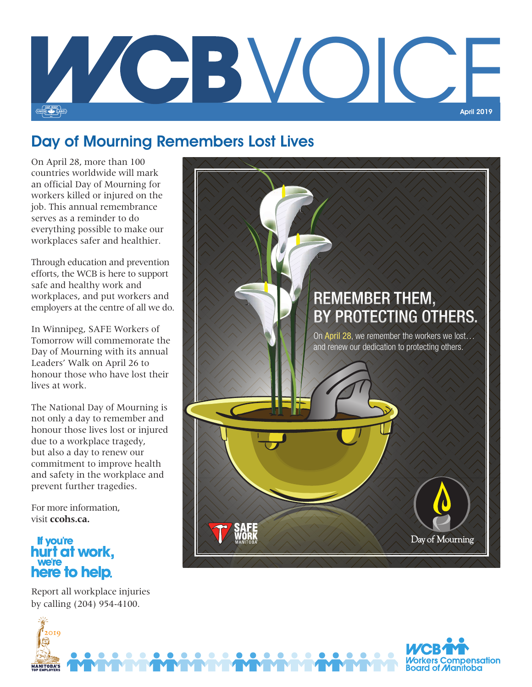

## Day of Mourning Remembers Lost Lives

On April 28, more than 100 countries worldwide will mark an official Day of Mourning for workers killed or injured on the job. This annual remembrance serves as a reminder to do everything possible to make our workplaces safer and healthier.

Through education and prevention efforts, the WCB is here to support safe and healthy work and workplaces, and put workers and employers at the centre of all we do.

In Winnipeg, SAFE Workers of Tomorrow will commemorate the Day of Mourning with its annual Leaders' Walk on April 26 to honour those who have lost their lives at work.

The National Day of Mourning is not only a day to remember and honour those lives lost or injured due to a workplace tragedy, but also a day to renew our commitment to improve health and safety in the workplace and prevent further tragedies.

For more information, visit **ccohs.ca.**

## **If you're** hurt at work, we're<br>**here to help.**

2019

**MANITOBA'S** 

Report all workplace injuries by calling (204) 954-4100.